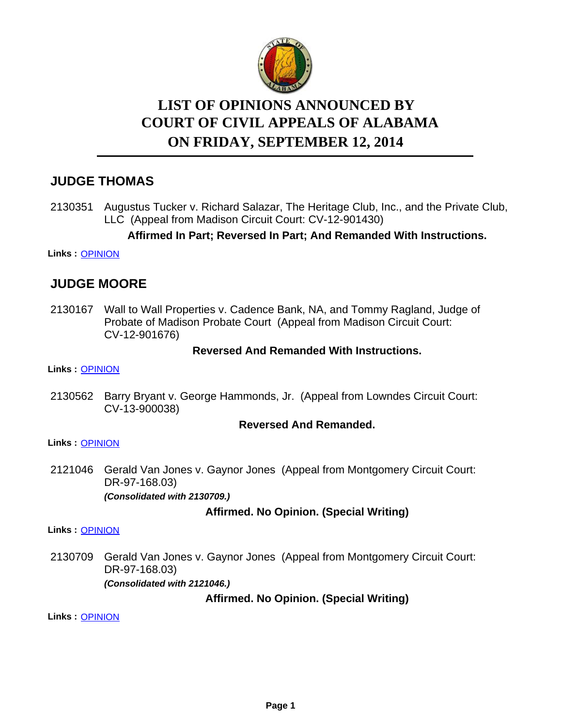

# **LIST OF OPINIONS ANNOUNCED BY ON FRIDAY, SEPTEMBER 12, 2014 COURT OF CIVIL APPEALS OF ALABAMA**

# **JUDGE THOMAS**

2130351 Augustus Tucker v. Richard Salazar, The Heritage Club, Inc., and the Private Club, LLC (Appeal from Madison Circuit Court: CV-12-901430)

## **Affirmed In Part; Reversed In Part; And Remanded With Instructions.**

#### **Links :** [OPINION](https://acis.alabama.gov/displaydocs.cfm?no=605392&event=45T0KYJ9B)

# **JUDGE MOORE**

2130167 Wall to Wall Properties v. Cadence Bank, NA, and Tommy Ragland, Judge of Probate of Madison Probate Court (Appeal from Madison Circuit Court: CV-12-901676)

## **Reversed And Remanded With Instructions.**

**Links :** [OPINION](https://acis.alabama.gov/displaydocs.cfm?no=605391&event=45T0KYJ38)

2130562 Barry Bryant v. George Hammonds, Jr. (Appeal from Lowndes Circuit Court: CV-13-900038)

#### **Reversed And Remanded.**

#### **Links :** [OPINION](https://acis.alabama.gov/displaydocs.cfm?no=605394&event=45T0KYJLG)

2121046 Gerald Van Jones v. Gaynor Jones (Appeal from Montgomery Circuit Court: DR-97-168.03) *(Consolidated with 2130709.)*

## **Affirmed. No Opinion. (Special Writing)**

**Links :** [OPINION](https://acis.alabama.gov/displaydocs.cfm?no=605388&event=45T0KYHUM)

2130709 Gerald Van Jones v. Gaynor Jones (Appeal from Montgomery Circuit Court: DR-97-168.03) *(Consolidated with 2121046.)*

**Affirmed. No Opinion. (Special Writing)**

**Links :** [OPINION](https://acis.alabama.gov/displaydocs.cfm?no=605388&event=45T0KYHUM)